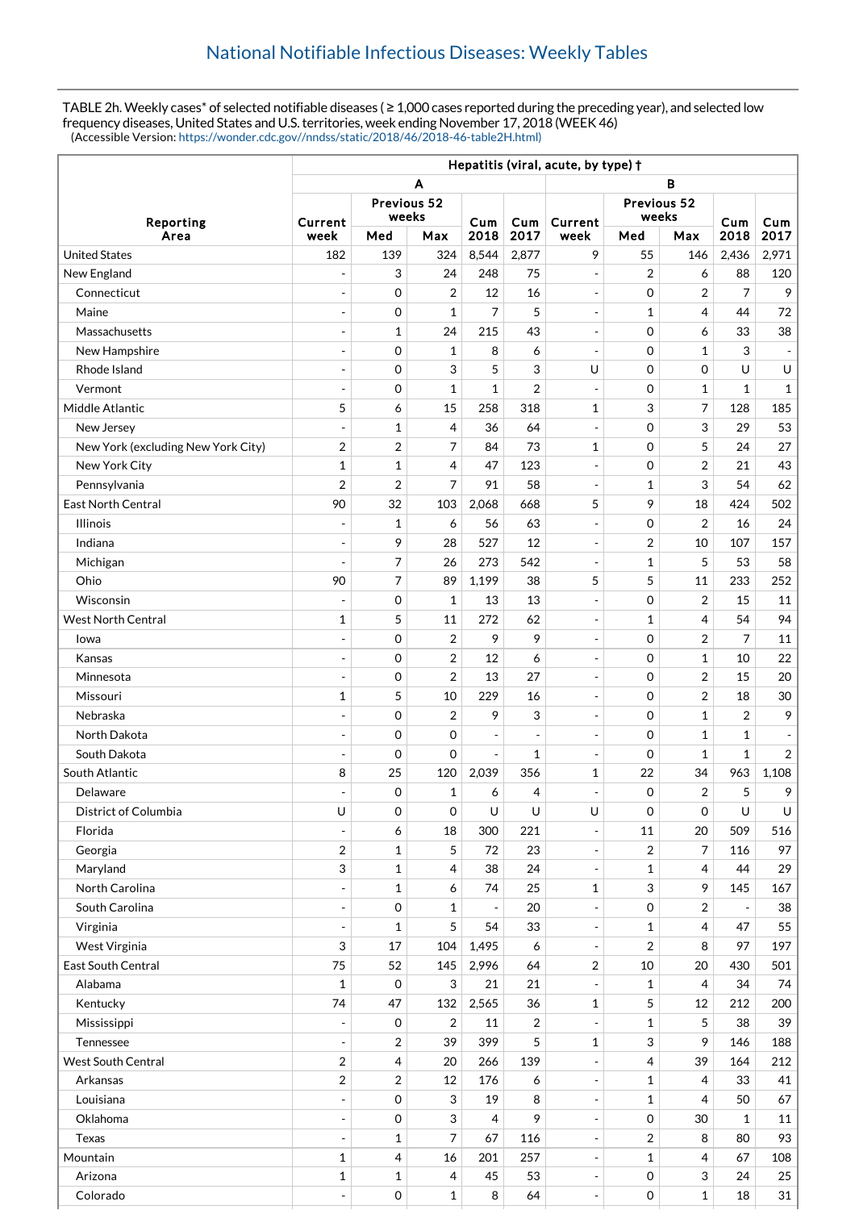TABLE 2h. Weekly cases\* of selected notifiable diseases ( $\geq 1,000$  cases reported during the preceding year), and selected low frequency diseases, United States and U.S. territories, week ending November 17, 2018 (WEEK 46) (Accessible Version: [https://wonder.cdc.gov//nndss/static/2018/46/2018-46-table2H.html\)](https://wonder.cdc.gov//nndss/static/2018/46/2018-46-table2H.html)

|                                    | Hepatitis (viral, acute, by type) + |             |                |                          |                          |                          |              |                         |                          |                          |
|------------------------------------|-------------------------------------|-------------|----------------|--------------------------|--------------------------|--------------------------|--------------|-------------------------|--------------------------|--------------------------|
|                                    | в<br>A                              |             |                |                          |                          |                          |              |                         |                          |                          |
| Reporting                          | Previous 52                         |             |                |                          | Previous 52              |                          |              |                         |                          |                          |
|                                    | Current                             | weeks       |                | Cum                      | Cum                      | Current                  | weeks        |                         | Cum                      | Cum                      |
| Area                               | week                                | Med         | Max            | 2018                     | 2017                     | week                     | Med          | Max                     | 2018                     | 2017                     |
| <b>United States</b>               | 182                                 | 139         | 324            | 8,544                    | 2,877                    | 9                        | 55           | 146                     | 2,436                    | 2,971                    |
| New England                        |                                     | 3           | 24             | 248                      | 75                       | $\overline{\phantom{a}}$ | 2            | 6                       | 88                       | 120                      |
| Connecticut                        | $\overline{a}$                      | 0           | $\overline{2}$ | 12                       | 16                       | $\blacksquare$           | $\mathbf 0$  | 2                       | $\overline{7}$           | 9                        |
| Maine                              | $\overline{a}$                      | 0           | $\mathbf{1}$   | 7                        | 5                        | $\overline{\phantom{a}}$ | 1            | 4                       | 44                       | 72                       |
| Massachusetts                      | $\overline{a}$                      | 1           | 24             | 215                      | 43                       | $\sim$                   | $\mathbf 0$  | 6                       | 33                       | 38                       |
| New Hampshire                      | $\overline{\phantom{a}}$            | 0           | $\mathbf{1}$   | 8                        | 6                        | $\overline{\phantom{a}}$ | $\mathbf 0$  | 1                       | 3                        | $\overline{\phantom{a}}$ |
| Rhode Island                       | $\overline{a}$                      | 0           | 3              | 5                        | 3                        | U                        | $\mathbf 0$  | 0                       | U                        | U                        |
| Vermont                            | $\overline{a}$                      | 0           | $\mathbf{1}$   | $\mathbf{1}$             | 2                        | $\overline{\phantom{a}}$ | $\mathbf 0$  | 1                       | 1                        | $\mathbf{1}$             |
| Middle Atlantic                    | 5                                   | 6           | 15             | 258                      | 318                      | 1                        | 3            | 7                       | 128                      | 185                      |
| New Jersey                         |                                     | 1           | 4              | 36                       | 64                       | $\overline{\phantom{a}}$ | 0            | 3                       | 29                       | 53                       |
| New York (excluding New York City) | $\overline{2}$                      | 2           | 7              | 84                       | 73                       | 1                        | 0            | 5                       | 24                       | 27                       |
| New York City                      | $\mathbf{1}$                        | 1           | 4              | 47                       | 123                      | $\overline{\phantom{a}}$ | $\mathbf 0$  | $\overline{2}$          | 21                       | 43                       |
| Pennsylvania                       | $\overline{2}$                      | 2           | 7              | 91                       | 58                       | $\overline{\phantom{a}}$ | 1            | 3                       | 54                       | 62                       |
| <b>East North Central</b>          | 90                                  | 32          | 103            | 2,068                    | 668                      | 5                        | 9            | 18                      | 424                      | 502                      |
| <b>Illinois</b>                    | ÷,                                  | 1           | 6              | 56                       | 63                       | $\overline{\phantom{a}}$ | 0            | $\overline{2}$          | 16                       | 24                       |
| Indiana                            | $\overline{\phantom{a}}$            | 9           | 28             | 527                      | 12                       | $\blacksquare$           | 2            | 10                      | 107                      | 157                      |
| Michigan                           | $\overline{\phantom{a}}$            | 7           | 26             | 273                      | 542                      | $\overline{\phantom{a}}$ | 1            | 5                       | 53                       | 58                       |
| Ohio                               | 90                                  | 7           | 89             | 1,199                    | 38                       | 5                        | 5            | 11                      | 233                      | 252                      |
| Wisconsin                          |                                     | 0           | $\mathbf{1}$   | 13                       | 13                       | $\overline{\phantom{a}}$ | 0            | $\overline{2}$          | 15                       | 11                       |
| West North Central                 | $\mathbf{1}$                        | 5           | 11             | 272                      | 62                       | $\overline{\phantom{a}}$ | 1            | $\overline{4}$          | 54                       | 94                       |
| Iowa                               | $\overline{a}$                      | 0           | $\overline{2}$ | 9                        | 9                        | $\overline{\phantom{m}}$ | 0            | $\overline{2}$          | $\overline{7}$           | 11                       |
| Kansas                             | $\overline{\phantom{a}}$            | 0           | 2              | 12                       | 6                        | $\overline{\phantom{a}}$ | $\mathbf 0$  | 1                       | 10                       | 22                       |
| Minnesota                          |                                     | 0           | $\overline{2}$ | 13                       | 27                       | $\overline{\phantom{a}}$ | $\mathbf 0$  | 2                       | 15                       | 20                       |
| Missouri                           | $\mathbf{1}$                        | 5           | 10             | 229                      | 16                       | $\overline{\phantom{a}}$ | 0            | 2                       | 18                       | 30                       |
| Nebraska                           | $\overline{a}$                      | $\mathbf 0$ | $\overline{2}$ | 9                        | 3                        | $\overline{\phantom{a}}$ | $\mathbf 0$  | $\mathbf{1}$            | $\overline{2}$           | 9                        |
| North Dakota                       | ÷,                                  | 0           | 0              | $\overline{\phantom{a}}$ | $\overline{\phantom{a}}$ | $\overline{\phantom{a}}$ | 0            | $\mathbf{1}$            | 1                        | $\overline{\phantom{a}}$ |
| South Dakota                       | $\overline{\phantom{a}}$            | 0           | 0              | $\overline{\phantom{a}}$ | 1                        | $\overline{\phantom{a}}$ | $\mathbf 0$  | 1                       | $\mathbf{1}$             | $\overline{2}$           |
| South Atlantic                     | 8                                   | 25          | 120            | 2,039                    | 356                      | 1                        | 22           | 34                      | 963                      | 1,108                    |
| Delaware                           | $\overline{\phantom{a}}$            | 0           | 1              | 6                        | 4                        | $\overline{a}$           | $\mathbf 0$  | $\overline{2}$          | 5                        | 9                        |
| District of Columbia               | U                                   | 0           | 0              | U                        | U                        | U                        | $\mathbf 0$  | 0                       | U                        | U                        |
| Florida                            | $\overline{\phantom{a}}$            | 6           | 18             | 300                      | 221                      | $\overline{\phantom{a}}$ | 11           | 20                      | 509                      | 516                      |
| Georgia                            | $\overline{2}$                      | 1           | 5              | 72                       | 23                       | $\overline{\phantom{a}}$ | 2            | 7                       | 116                      | 97                       |
| Maryland                           | 3                                   | $\mathbf 1$ | 4              | 38                       | 24                       | $\overline{\phantom{a}}$ | $\mathbf 1$  | 4                       | 44                       | 29                       |
| North Carolina                     | $\blacksquare$                      | $\mathbf 1$ | 6              | 74                       | 25                       | 1                        | 3            | 9                       | 145                      | 167                      |
| South Carolina                     | $\blacksquare$                      | 0           | $\mathbf{1}$   | $\overline{\phantom{a}}$ | 20                       | $\overline{\phantom{a}}$ | 0            | $\overline{\mathbf{c}}$ | $\overline{\phantom{a}}$ | 38                       |
| Virginia                           | $\overline{\phantom{a}}$            | 1           | 5              | 54                       | 33                       | $\blacksquare$           | 1            | 4                       | 47                       | 55                       |
| West Virginia                      | 3                                   | 17          | 104            | 1,495                    | 6                        | $\Box$                   | 2            | 8                       | 97                       | 197                      |
| East South Central                 | 75                                  | 52          | 145            | 2,996                    | 64                       | $\overline{c}$           | 10           | 20                      | 430                      | 501                      |
| Alabama                            | $\mathbf{1}$                        | $\mathbf 0$ | 3              | 21                       | 21                       | $\overline{\phantom{a}}$ | 1            | 4                       | 34                       | 74                       |
| Kentucky                           | 74                                  | 47          | 132            | 2,565                    | 36                       | 1                        | 5            | 12                      | 212                      | 200                      |
| Mississippi                        | $\overline{\phantom{a}}$            | 0           | $\overline{2}$ | 11                       | $\overline{2}$           | $\blacksquare$           | 1            | 5                       | 38                       | 39                       |
| Tennessee                          | $\overline{\phantom{a}}$            | 2           | 39             | 399                      | 5                        | 1                        | 3            | 9                       | 146                      | 188                      |
| <b>West South Central</b>          | $\overline{2}$                      | 4           | 20             | 266                      | 139                      | $\overline{\phantom{a}}$ | 4            | 39                      | 164                      | 212                      |
| Arkansas                           | $\overline{c}$                      | 2           | 12             | 176                      | 6                        | $\overline{\phantom{a}}$ | 1            | 4                       | 33                       | 41                       |
| Louisiana                          | $\overline{\phantom{a}}$            | 0           | 3              | 19                       | 8                        | $\blacksquare$           | 1            | 4                       | 50                       | 67                       |
| Oklahoma                           | $\blacksquare$                      | 0           | 3              | 4                        | 9                        | $\Box$                   | 0            | 30                      | $\mathbf{1}$             | 11                       |
| <b>Texas</b>                       | $\blacksquare$                      | 1           | 7              | 67                       | 116                      | $\blacksquare$           | 2            | 8                       | 80                       | 93                       |
| Mountain                           | $\mathbf{1}$                        | 4           | 16             | 201                      | 257                      | $\blacksquare$           | $\mathbf{1}$ | 4                       | 67                       | 108                      |
| Arizona                            | $\mathbf{1}$                        | 1           | 4              | 45                       | 53                       | $\overline{\phantom{a}}$ | $\mathbf 0$  | 3                       | 24                       | 25                       |
| Colorado                           | $\blacksquare$                      | $\mathbf 0$ | $\mathbf 1$    | 8                        | 64                       | $\Box$                   | 0            | $\mathbf 1$             | 18                       | 31                       |